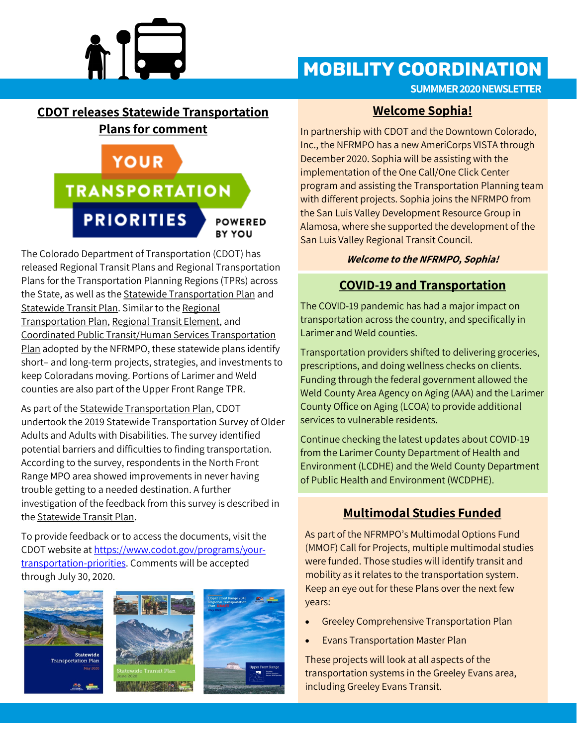

# **MOBILITY COORDINATION**

**SUMMMER 2020 NEWSLETTER**

#### **CDOT releases Statewide Transportation Plans for comment**

# **YOUR TRANSPORTATION PRIORITIES POWERED BY YOU**

The Colorado Department of Transportation (CDOT) has released Regional Transit Plans and Regional Transportation Plans for the Transportation Planning Regions (TPRs) across the State, as well as the Statewide Transportation Plan and Statewide Transit Plan. Similar to the Regional Transportation Plan, Regional Transit Element, and Coordinated Public Transit/Human Services Transportation Plan adopted by the NFRMPO, these statewide plans identify short– and long-term projects, strategies, and investments to keep Coloradans moving. Portions of Larimer and Weld counties are also part of the Upper Front Range TPR.

As part of the Statewide Transportation Plan, CDOT undertook the 2019 Statewide Transportation Survey of Older Adults and Adults with Disabilities. The survey identified potential barriers and difficulties to finding transportation. According to the survey, respondents in the North Front Range MPO area showed improvements in never having trouble getting to a needed destination. A further investigation of the feedback from this survey is described in the Statewide Transit Plan.

To provide feedback or to access the documents, visit the CDOT website at [https://www.codot.gov/programs/your](https://www.codot.gov/programs/your-transportation-priorities)[transportation](https://www.codot.gov/programs/your-transportation-priorities)-priorities. Comments will be accepted through July 30, 2020.







#### **Welcome Sophia!**

In partnership with CDOT and the Downtown Colorado, Inc., the NFRMPO has a new AmeriCorps VISTA through December 2020. Sophia will be assisting with the implementation of the One Call/One Click Center program and assisting the Transportation Planning team with different projects. Sophia joins the NFRMPO from the San Luis Valley Development Resource Group in Alamosa, where she supported the development of the San Luis Valley Regional Transit Council.

#### **Welcome to the NFRMPO, Sophia!**

### **COVID-19 and Transportation**

The COVID-19 pandemic has had a major impact on transportation across the country, and specifically in Larimer and Weld counties.

Transportation providers shifted to delivering groceries, prescriptions, and doing wellness checks on clients. Funding through the federal government allowed the Weld County Area Agency on Aging (AAA) and the Larimer County Office on Aging (LCOA) to provide additional services to vulnerable residents.

Continue checking the latest updates about COVID-19 from the Larimer County Department of Health and Environment (LCDHE) and the Weld County Department of Public Health and Environment (WCDPHE).

### **Multimodal Studies Funded**

As part of the NFRMPO's Multimodal Options Fund (MMOF) Call for Projects, multiple multimodal studies were funded. Those studies will identify transit and mobility as it relates to the transportation system. Keep an eye out for these Plans over the next few years:

- Greeley Comprehensive Transportation Plan
- **Evans Transportation Master Plan**

These projects will look at all aspects of the transportation systems in the Greeley Evans area, including Greeley Evans Transit.